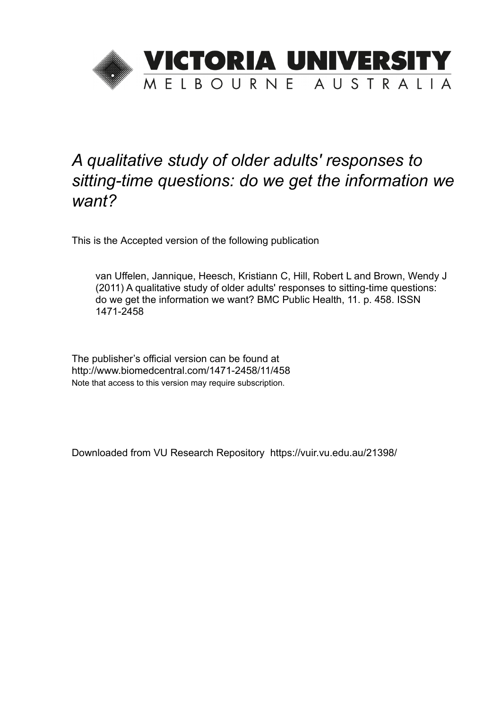

## *A qualitative study of older adults' responses to sitting-time questions: do we get the information we want?*

This is the Accepted version of the following publication

van Uffelen, Jannique, Heesch, Kristiann C, Hill, Robert L and Brown, Wendy J (2011) A qualitative study of older adults' responses to sitting-time questions: do we get the information we want? BMC Public Health, 11. p. 458. ISSN 1471-2458

The publisher's official version can be found at http://www.biomedcentral.com/1471-2458/11/458 Note that access to this version may require subscription.

Downloaded from VU Research Repository https://vuir.vu.edu.au/21398/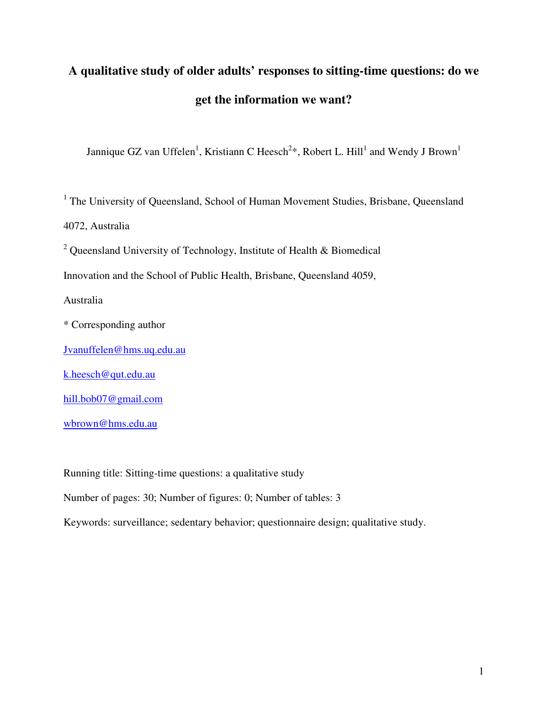# **A qualitative study of older adults' responses to sitting-time questions: do we get the information we want?**

Jannique GZ van Uffelen<sup>1</sup>, Kristiann C Heesch<sup>2\*</sup>, Robert L. Hill<sup>1</sup> and Wendy J Brown<sup>1</sup>

<sup>1</sup> The University of Queensland, School of Human Movement Studies, Brisbane, Queensland

4072, Australia

<sup>2</sup> Queensland University of Technology, Institute of Health & Biomedical

Innovation and the School of Public Health, Brisbane, Queensland 4059,

Australia

\* Corresponding author

Jvanuffelen@hms.uq.edu.au

k.heesch@qut.edu.au

hill.bob07@gmail.com

wbrown@hms.edu.au

Running title: Sitting-time questions: a qualitative study

Number of pages: 30; Number of figures: 0; Number of tables: 3

Keywords: surveillance; sedentary behavior; questionnaire design; qualitative study.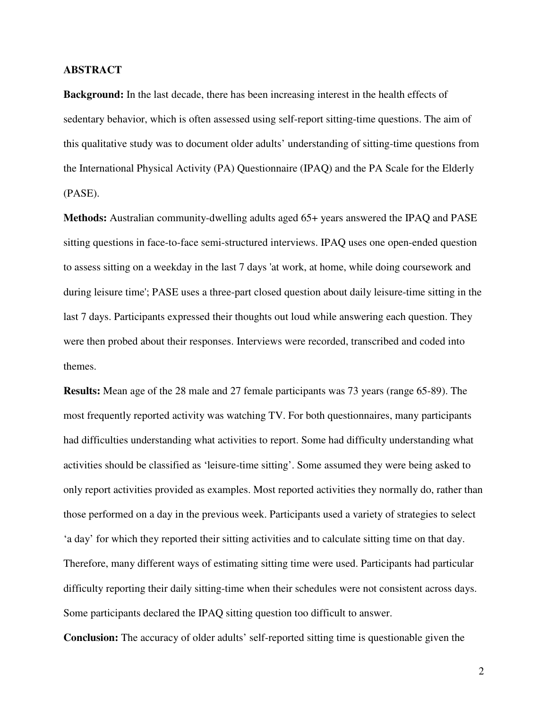#### **ABSTRACT**

**Background:** In the last decade, there has been increasing interest in the health effects of sedentary behavior, which is often assessed using self-report sitting-time questions. The aim of this qualitative study was to document older adults' understanding of sitting-time questions from the International Physical Activity (PA) Questionnaire (IPAQ) and the PA Scale for the Elderly (PASE).

**Methods:** Australian community-dwelling adults aged 65+ years answered the IPAQ and PASE sitting questions in face-to-face semi-structured interviews. IPAQ uses one open-ended question to assess sitting on a weekday in the last 7 days 'at work, at home, while doing coursework and during leisure time'; PASE uses a three-part closed question about daily leisure-time sitting in the last 7 days. Participants expressed their thoughts out loud while answering each question. They were then probed about their responses. Interviews were recorded, transcribed and coded into themes.

**Results:** Mean age of the 28 male and 27 female participants was 73 years (range 65-89). The most frequently reported activity was watching TV. For both questionnaires, many participants had difficulties understanding what activities to report. Some had difficulty understanding what activities should be classified as 'leisure-time sitting'. Some assumed they were being asked to only report activities provided as examples. Most reported activities they normally do, rather than those performed on a day in the previous week. Participants used a variety of strategies to select 'a day' for which they reported their sitting activities and to calculate sitting time on that day. Therefore, many different ways of estimating sitting time were used. Participants had particular difficulty reporting their daily sitting-time when their schedules were not consistent across days. Some participants declared the IPAQ sitting question too difficult to answer.

**Conclusion:** The accuracy of older adults' self-reported sitting time is questionable given the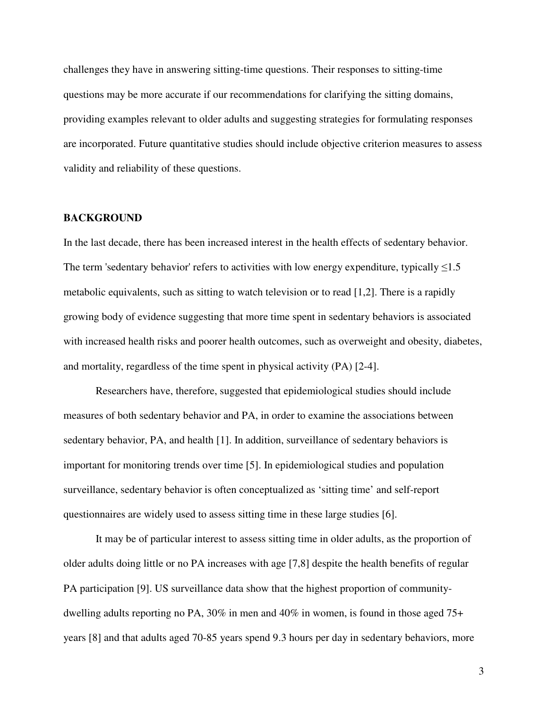challenges they have in answering sitting-time questions. Their responses to sitting-time questions may be more accurate if our recommendations for clarifying the sitting domains, providing examples relevant to older adults and suggesting strategies for formulating responses are incorporated. Future quantitative studies should include objective criterion measures to assess validity and reliability of these questions.

#### **BACKGROUND**

In the last decade, there has been increased interest in the health effects of sedentary behavior. The term 'sedentary behavior' refers to activities with low energy expenditure, typically  $\leq 1.5$ metabolic equivalents, such as sitting to watch television or to read [1,2]. There is a rapidly growing body of evidence suggesting that more time spent in sedentary behaviors is associated with increased health risks and poorer health outcomes, such as overweight and obesity, diabetes, and mortality, regardless of the time spent in physical activity (PA) [2-4].

Researchers have, therefore, suggested that epidemiological studies should include measures of both sedentary behavior and PA, in order to examine the associations between sedentary behavior, PA, and health [1]. In addition, surveillance of sedentary behaviors is important for monitoring trends over time [5]. In epidemiological studies and population surveillance, sedentary behavior is often conceptualized as 'sitting time' and self-report questionnaires are widely used to assess sitting time in these large studies [6].

It may be of particular interest to assess sitting time in older adults, as the proportion of older adults doing little or no PA increases with age [7,8] despite the health benefits of regular PA participation [9]. US surveillance data show that the highest proportion of communitydwelling adults reporting no PA, 30% in men and 40% in women, is found in those aged 75+ years [8] and that adults aged 70-85 years spend 9.3 hours per day in sedentary behaviors, more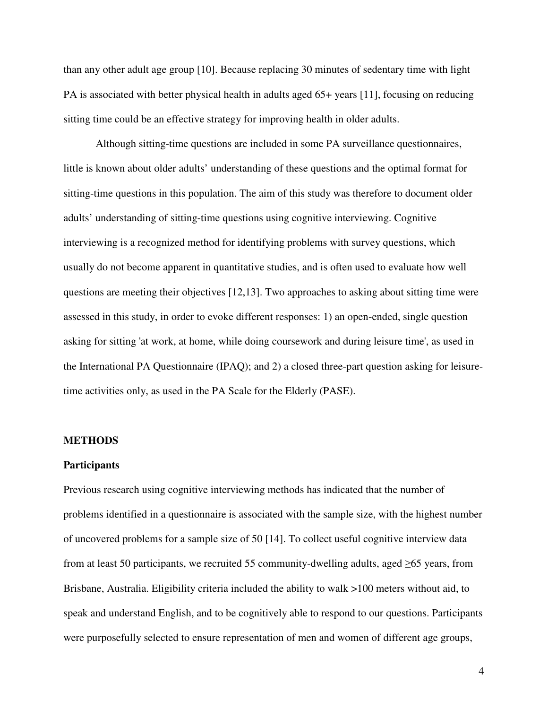than any other adult age group [10]. Because replacing 30 minutes of sedentary time with light PA is associated with better physical health in adults aged 65+ years [11], focusing on reducing sitting time could be an effective strategy for improving health in older adults.

Although sitting-time questions are included in some PA surveillance questionnaires, little is known about older adults' understanding of these questions and the optimal format for sitting-time questions in this population. The aim of this study was therefore to document older adults' understanding of sitting-time questions using cognitive interviewing. Cognitive interviewing is a recognized method for identifying problems with survey questions, which usually do not become apparent in quantitative studies, and is often used to evaluate how well questions are meeting their objectives [12,13]. Two approaches to asking about sitting time were assessed in this study, in order to evoke different responses: 1) an open-ended, single question asking for sitting 'at work, at home, while doing coursework and during leisure time', as used in the International PA Questionnaire (IPAQ); and 2) a closed three-part question asking for leisuretime activities only, as used in the PA Scale for the Elderly (PASE).

#### **METHODS**

#### **Participants**

Previous research using cognitive interviewing methods has indicated that the number of problems identified in a questionnaire is associated with the sample size, with the highest number of uncovered problems for a sample size of 50 [14]. To collect useful cognitive interview data from at least 50 participants, we recruited 55 community-dwelling adults, aged  $\geq 65$  years, from Brisbane, Australia. Eligibility criteria included the ability to walk >100 meters without aid, to speak and understand English, and to be cognitively able to respond to our questions. Participants were purposefully selected to ensure representation of men and women of different age groups,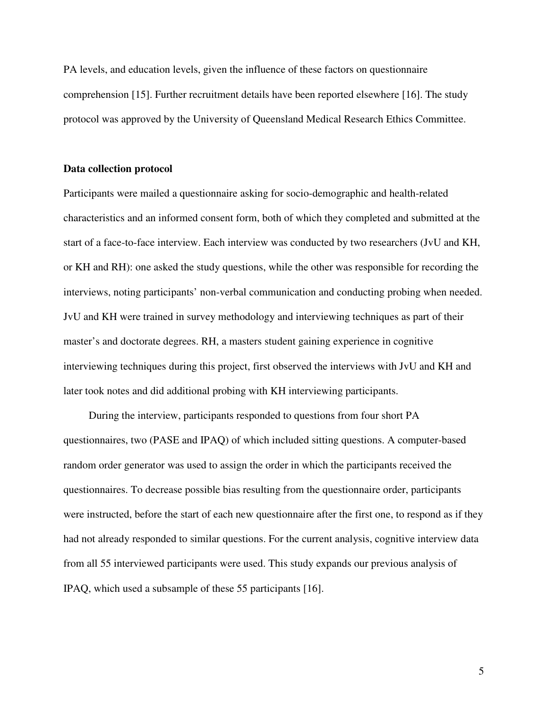PA levels, and education levels, given the influence of these factors on questionnaire comprehension [15]. Further recruitment details have been reported elsewhere [16]. The study protocol was approved by the University of Queensland Medical Research Ethics Committee.

#### **Data collection protocol**

Participants were mailed a questionnaire asking for socio-demographic and health-related characteristics and an informed consent form, both of which they completed and submitted at the start of a face-to-face interview. Each interview was conducted by two researchers (JvU and KH, or KH and RH): one asked the study questions, while the other was responsible for recording the interviews, noting participants' non-verbal communication and conducting probing when needed. JvU and KH were trained in survey methodology and interviewing techniques as part of their master's and doctorate degrees. RH, a masters student gaining experience in cognitive interviewing techniques during this project, first observed the interviews with JvU and KH and later took notes and did additional probing with KH interviewing participants.

 During the interview, participants responded to questions from four short PA questionnaires, two (PASE and IPAQ) of which included sitting questions. A computer-based random order generator was used to assign the order in which the participants received the questionnaires. To decrease possible bias resulting from the questionnaire order, participants were instructed, before the start of each new questionnaire after the first one, to respond as if they had not already responded to similar questions. For the current analysis, cognitive interview data from all 55 interviewed participants were used. This study expands our previous analysis of IPAQ, which used a subsample of these 55 participants [16].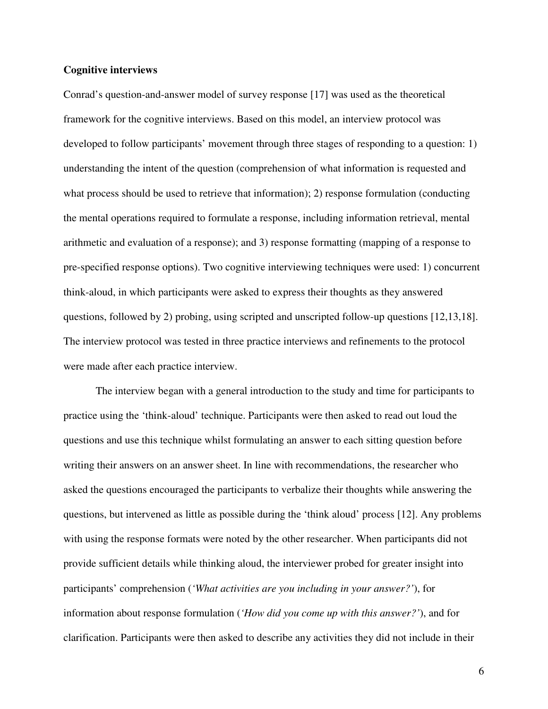#### **Cognitive interviews**

Conrad's question-and-answer model of survey response [17] was used as the theoretical framework for the cognitive interviews. Based on this model, an interview protocol was developed to follow participants' movement through three stages of responding to a question: 1) understanding the intent of the question (comprehension of what information is requested and what process should be used to retrieve that information); 2) response formulation (conducting the mental operations required to formulate a response, including information retrieval, mental arithmetic and evaluation of a response); and 3) response formatting (mapping of a response to pre-specified response options). Two cognitive interviewing techniques were used: 1) concurrent think-aloud, in which participants were asked to express their thoughts as they answered questions, followed by 2) probing, using scripted and unscripted follow-up questions [12,13,18]. The interview protocol was tested in three practice interviews and refinements to the protocol were made after each practice interview.

The interview began with a general introduction to the study and time for participants to practice using the 'think-aloud' technique. Participants were then asked to read out loud the questions and use this technique whilst formulating an answer to each sitting question before writing their answers on an answer sheet. In line with recommendations, the researcher who asked the questions encouraged the participants to verbalize their thoughts while answering the questions, but intervened as little as possible during the 'think aloud' process [12]. Any problems with using the response formats were noted by the other researcher. When participants did not provide sufficient details while thinking aloud, the interviewer probed for greater insight into participants' comprehension (*'What activities are you including in your answer?'*), for information about response formulation (*'How did you come up with this answer?'*), and for clarification. Participants were then asked to describe any activities they did not include in their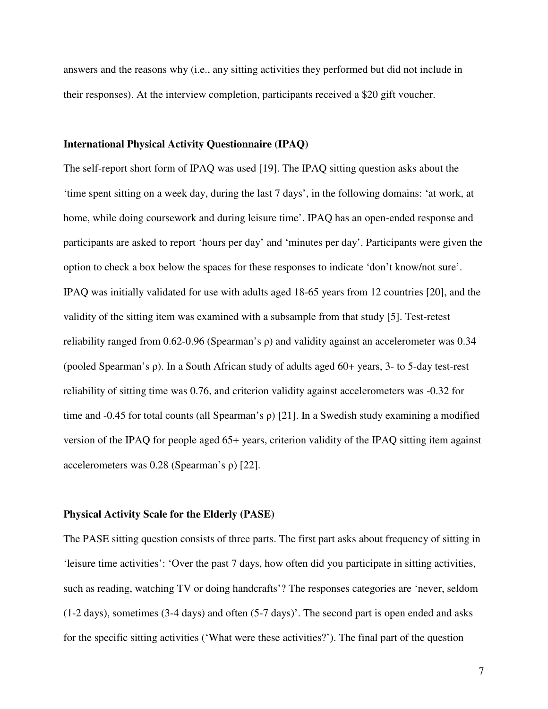answers and the reasons why (i.e., any sitting activities they performed but did not include in their responses). At the interview completion, participants received a \$20 gift voucher.

#### **International Physical Activity Questionnaire (IPAQ)**

The self-report short form of IPAQ was used [19]. The IPAQ sitting question asks about the 'time spent sitting on a week day, during the last 7 days', in the following domains: 'at work, at home, while doing coursework and during leisure time'. IPAQ has an open-ended response and participants are asked to report 'hours per day' and 'minutes per day'. Participants were given the option to check a box below the spaces for these responses to indicate 'don't know/not sure'. IPAQ was initially validated for use with adults aged 18-65 years from 12 countries [20], and the validity of the sitting item was examined with a subsample from that study [5]. Test-retest reliability ranged from 0.62-0.96 (Spearman's ρ) and validity against an accelerometer was 0.34 (pooled Spearman's ρ). In a South African study of adults aged 60+ years, 3- to 5-day test-rest reliability of sitting time was 0.76, and criterion validity against accelerometers was -0.32 for time and -0.45 for total counts (all Spearman's ρ) [21]. In a Swedish study examining a modified version of the IPAQ for people aged 65+ years, criterion validity of the IPAQ sitting item against accelerometers was 0.28 (Spearman's ρ) [22].

#### **Physical Activity Scale for the Elderly (PASE)**

The PASE sitting question consists of three parts. The first part asks about frequency of sitting in 'leisure time activities': 'Over the past 7 days, how often did you participate in sitting activities, such as reading, watching TV or doing handcrafts'? The responses categories are 'never, seldom (1-2 days), sometimes (3-4 days) and often (5-7 days)'. The second part is open ended and asks for the specific sitting activities ('What were these activities?'). The final part of the question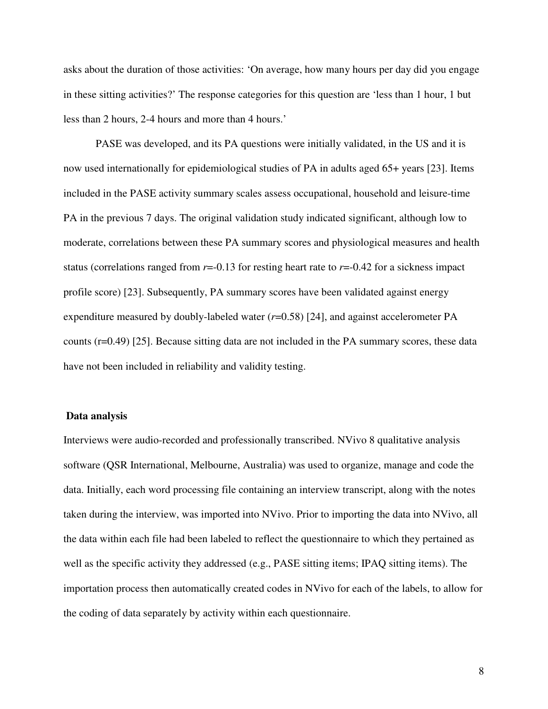asks about the duration of those activities: 'On average, how many hours per day did you engage in these sitting activities?' The response categories for this question are 'less than 1 hour, 1 but less than 2 hours, 2-4 hours and more than 4 hours.'

PASE was developed, and its PA questions were initially validated, in the US and it is now used internationally for epidemiological studies of PA in adults aged 65+ years [23]. Items included in the PASE activity summary scales assess occupational, household and leisure-time PA in the previous 7 days. The original validation study indicated significant, although low to moderate, correlations between these PA summary scores and physiological measures and health status (correlations ranged from  $r = -0.13$  for resting heart rate to  $r = -0.42$  for a sickness impact profile score) [23]. Subsequently, PA summary scores have been validated against energy expenditure measured by doubly-labeled water (*r*=0.58) [24], and against accelerometer PA counts (r=0.49) [25]. Because sitting data are not included in the PA summary scores, these data have not been included in reliability and validity testing.

#### **Data analysis**

Interviews were audio-recorded and professionally transcribed. NVivo 8 qualitative analysis software (QSR International, Melbourne, Australia) was used to organize, manage and code the data. Initially, each word processing file containing an interview transcript, along with the notes taken during the interview, was imported into NVivo. Prior to importing the data into NVivo, all the data within each file had been labeled to reflect the questionnaire to which they pertained as well as the specific activity they addressed (e.g., PASE sitting items; IPAQ sitting items). The importation process then automatically created codes in NVivo for each of the labels, to allow for the coding of data separately by activity within each questionnaire.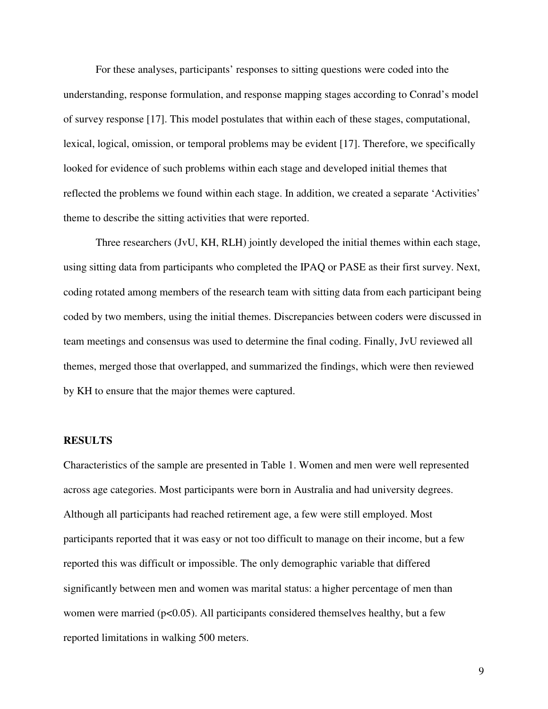For these analyses, participants' responses to sitting questions were coded into the understanding, response formulation, and response mapping stages according to Conrad's model of survey response [17]. This model postulates that within each of these stages, computational, lexical, logical, omission, or temporal problems may be evident [17]. Therefore, we specifically looked for evidence of such problems within each stage and developed initial themes that reflected the problems we found within each stage. In addition, we created a separate 'Activities' theme to describe the sitting activities that were reported.

Three researchers (JvU, KH, RLH) jointly developed the initial themes within each stage, using sitting data from participants who completed the IPAQ or PASE as their first survey. Next, coding rotated among members of the research team with sitting data from each participant being coded by two members, using the initial themes. Discrepancies between coders were discussed in team meetings and consensus was used to determine the final coding. Finally, JvU reviewed all themes, merged those that overlapped, and summarized the findings, which were then reviewed by KH to ensure that the major themes were captured.

#### **RESULTS**

Characteristics of the sample are presented in Table 1. Women and men were well represented across age categories. Most participants were born in Australia and had university degrees. Although all participants had reached retirement age, a few were still employed. Most participants reported that it was easy or not too difficult to manage on their income, but a few reported this was difficult or impossible. The only demographic variable that differed significantly between men and women was marital status: a higher percentage of men than women were married ( $p<0.05$ ). All participants considered themselves healthy, but a few reported limitations in walking 500 meters.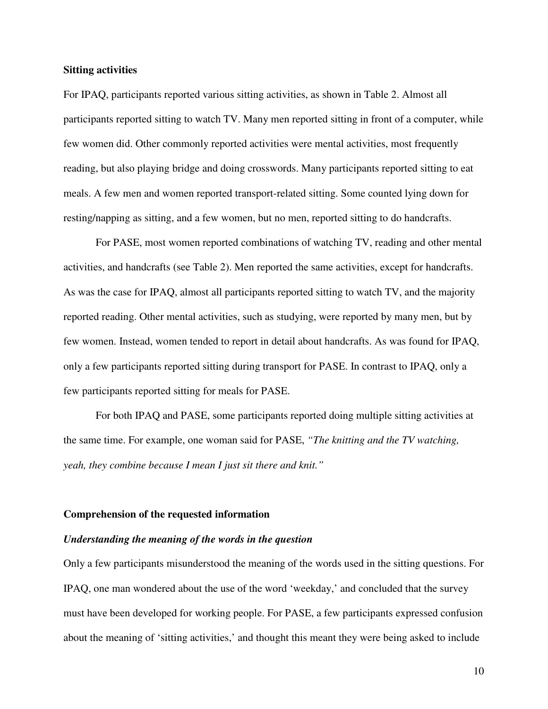#### **Sitting activities**

For IPAQ, participants reported various sitting activities, as shown in Table 2. Almost all participants reported sitting to watch TV. Many men reported sitting in front of a computer, while few women did. Other commonly reported activities were mental activities, most frequently reading, but also playing bridge and doing crosswords. Many participants reported sitting to eat meals. A few men and women reported transport-related sitting. Some counted lying down for resting/napping as sitting, and a few women, but no men, reported sitting to do handcrafts.

For PASE, most women reported combinations of watching TV, reading and other mental activities, and handcrafts (see Table 2). Men reported the same activities, except for handcrafts. As was the case for IPAQ, almost all participants reported sitting to watch TV, and the majority reported reading. Other mental activities, such as studying, were reported by many men, but by few women. Instead, women tended to report in detail about handcrafts. As was found for IPAQ, only a few participants reported sitting during transport for PASE. In contrast to IPAQ, only a few participants reported sitting for meals for PASE.

For both IPAQ and PASE, some participants reported doing multiple sitting activities at the same time. For example, one woman said for PASE, *"The knitting and the TV watching, yeah, they combine because I mean I just sit there and knit."* 

#### **Comprehension of the requested information**

#### *Understanding the meaning of the words in the question*

Only a few participants misunderstood the meaning of the words used in the sitting questions. For IPAQ, one man wondered about the use of the word 'weekday,' and concluded that the survey must have been developed for working people. For PASE, a few participants expressed confusion about the meaning of 'sitting activities,' and thought this meant they were being asked to include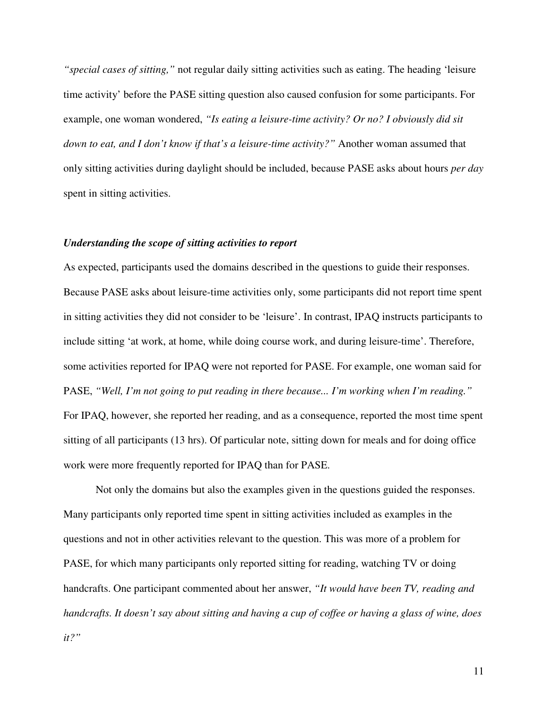*"special cases of sitting,"* not regular daily sitting activities such as eating. The heading 'leisure time activity' before the PASE sitting question also caused confusion for some participants. For example, one woman wondered, *"Is eating a leisure-time activity? Or no? I obviously did sit down to eat, and I don't know if that's a leisure-time activity?"* Another woman assumed that only sitting activities during daylight should be included, because PASE asks about hours *per day* spent in sitting activities.

#### *Understanding the scope of sitting activities to report*

As expected, participants used the domains described in the questions to guide their responses. Because PASE asks about leisure-time activities only, some participants did not report time spent in sitting activities they did not consider to be 'leisure'. In contrast, IPAQ instructs participants to include sitting 'at work, at home, while doing course work, and during leisure-time'. Therefore, some activities reported for IPAQ were not reported for PASE. For example, one woman said for PASE, *"Well, I'm not going to put reading in there because... I'm working when I'm reading."*  For IPAQ, however, she reported her reading, and as a consequence, reported the most time spent sitting of all participants (13 hrs). Of particular note, sitting down for meals and for doing office work were more frequently reported for IPAQ than for PASE.

 Not only the domains but also the examples given in the questions guided the responses. Many participants only reported time spent in sitting activities included as examples in the questions and not in other activities relevant to the question. This was more of a problem for PASE, for which many participants only reported sitting for reading, watching TV or doing handcrafts. One participant commented about her answer, *"It would have been TV, reading and handcrafts. It doesn't say about sitting and having a cup of coffee or having a glass of wine, does it?"*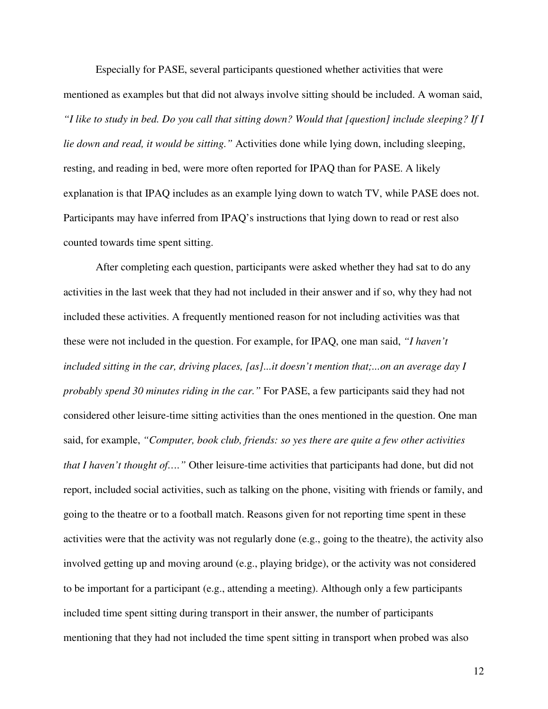Especially for PASE, several participants questioned whether activities that were

mentioned as examples but that did not always involve sitting should be included. A woman said, *"I like to study in bed. Do you call that sitting down? Would that [question] include sleeping? If I lie down and read, it would be sitting."* Activities done while lying down, including sleeping, resting, and reading in bed, were more often reported for IPAQ than for PASE. A likely explanation is that IPAQ includes as an example lying down to watch TV, while PASE does not. Participants may have inferred from IPAQ's instructions that lying down to read or rest also counted towards time spent sitting.

After completing each question, participants were asked whether they had sat to do any activities in the last week that they had not included in their answer and if so, why they had not included these activities. A frequently mentioned reason for not including activities was that these were not included in the question. For example, for IPAQ, one man said, *"I haven't included sitting in the car, driving places, [as]...it doesn't mention that;...on an average day I probably spend 30 minutes riding in the car."* For PASE, a few participants said they had not considered other leisure-time sitting activities than the ones mentioned in the question. One man said, for example, *"Computer, book club, friends: so yes there are quite a few other activities that I haven't thought of…."* Other leisure-time activities that participants had done, but did not report, included social activities, such as talking on the phone, visiting with friends or family, and going to the theatre or to a football match. Reasons given for not reporting time spent in these activities were that the activity was not regularly done (e.g., going to the theatre), the activity also involved getting up and moving around (e.g., playing bridge), or the activity was not considered to be important for a participant (e.g., attending a meeting). Although only a few participants included time spent sitting during transport in their answer, the number of participants mentioning that they had not included the time spent sitting in transport when probed was also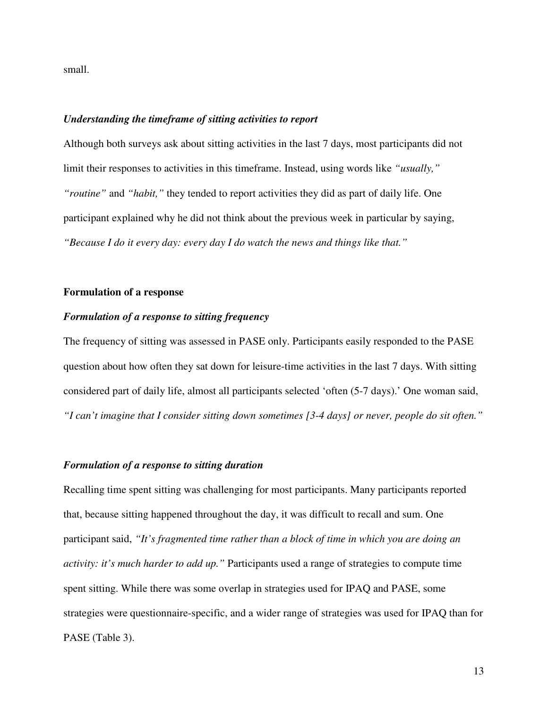small.

#### *Understanding the timeframe of sitting activities to report*

Although both surveys ask about sitting activities in the last 7 days, most participants did not limit their responses to activities in this timeframe. Instead, using words like *"usually," "routine"* and *"habit,"* they tended to report activities they did as part of daily life. One participant explained why he did not think about the previous week in particular by saying, *"Because I do it every day: every day I do watch the news and things like that."* 

#### **Formulation of a response**

#### *Formulation of a response to sitting frequency*

The frequency of sitting was assessed in PASE only. Participants easily responded to the PASE question about how often they sat down for leisure-time activities in the last 7 days. With sitting considered part of daily life, almost all participants selected 'often (5-7 days).' One woman said, *"I can't imagine that I consider sitting down sometimes [3-4 days] or never, people do sit often."*

#### *Formulation of a response to sitting duration*

Recalling time spent sitting was challenging for most participants. Many participants reported that, because sitting happened throughout the day, it was difficult to recall and sum. One participant said, *"It's fragmented time rather than a block of time in which you are doing an activity: it's much harder to add up."* Participants used a range of strategies to compute time spent sitting. While there was some overlap in strategies used for IPAQ and PASE, some strategies were questionnaire-specific, and a wider range of strategies was used for IPAQ than for PASE (Table 3).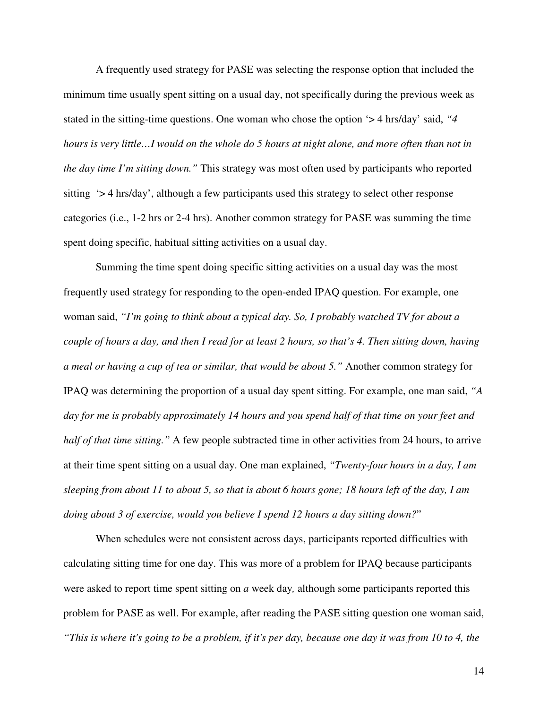A frequently used strategy for PASE was selecting the response option that included the minimum time usually spent sitting on a usual day, not specifically during the previous week as stated in the sitting-time questions. One woman who chose the option '> 4 hrs/day' said, *"4 hours is very little…I would on the whole do 5 hours at night alone, and more often than not in the day time I'm sitting down."* This strategy was most often used by participants who reported sitting '> 4 hrs/day', although a few participants used this strategy to select other response categories (i.e., 1-2 hrs or 2-4 hrs). Another common strategy for PASE was summing the time spent doing specific, habitual sitting activities on a usual day.

Summing the time spent doing specific sitting activities on a usual day was the most frequently used strategy for responding to the open-ended IPAQ question. For example, one woman said, *"I'm going to think about a typical day. So, I probably watched TV for about a couple of hours a day, and then I read for at least 2 hours, so that's 4. Then sitting down, having a meal or having a cup of tea or similar, that would be about 5."* Another common strategy for IPAQ was determining the proportion of a usual day spent sitting. For example, one man said, *"A day for me is probably approximately 14 hours and you spend half of that time on your feet and half of that time sitting."* A few people subtracted time in other activities from 24 hours, to arrive at their time spent sitting on a usual day. One man explained, *"Twenty-four hours in a day, I am sleeping from about 11 to about 5, so that is about 6 hours gone; 18 hours left of the day, I am doing about 3 of exercise, would you believe I spend 12 hours a day sitting down?*"

When schedules were not consistent across days, participants reported difficulties with calculating sitting time for one day. This was more of a problem for IPAQ because participants were asked to report time spent sitting on *a* week day*,* although some participants reported this problem for PASE as well. For example, after reading the PASE sitting question one woman said, *"This is where it's going to be a problem, if it's per day, because one day it was from 10 to 4, the*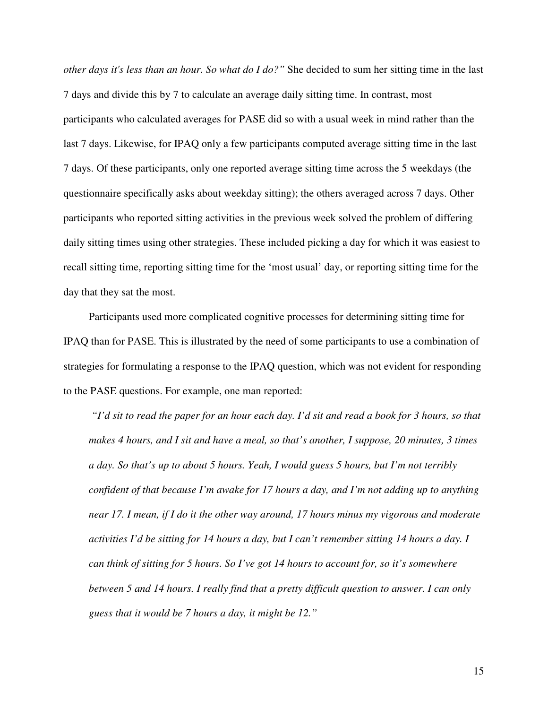*other days it's less than an hour. So what do I do?"* She decided to sum her sitting time in the last 7 days and divide this by 7 to calculate an average daily sitting time. In contrast, most participants who calculated averages for PASE did so with a usual week in mind rather than the last 7 days. Likewise, for IPAQ only a few participants computed average sitting time in the last 7 days. Of these participants, only one reported average sitting time across the 5 weekdays (the questionnaire specifically asks about weekday sitting); the others averaged across 7 days. Other participants who reported sitting activities in the previous week solved the problem of differing daily sitting times using other strategies. These included picking a day for which it was easiest to recall sitting time, reporting sitting time for the 'most usual' day, or reporting sitting time for the day that they sat the most.

Participants used more complicated cognitive processes for determining sitting time for IPAQ than for PASE. This is illustrated by the need of some participants to use a combination of strategies for formulating a response to the IPAQ question, which was not evident for responding to the PASE questions. For example, one man reported:

*"I'd sit to read the paper for an hour each day. I'd sit and read a book for 3 hours, so that makes 4 hours, and I sit and have a meal, so that's another, I suppose, 20 minutes, 3 times a day. So that's up to about 5 hours. Yeah, I would guess 5 hours, but I'm not terribly confident of that because I'm awake for 17 hours a day, and I'm not adding up to anything near 17. I mean, if I do it the other way around, 17 hours minus my vigorous and moderate activities I'd be sitting for 14 hours a day, but I can't remember sitting 14 hours a day. I can think of sitting for 5 hours. So I've got 14 hours to account for, so it's somewhere between 5 and 14 hours. I really find that a pretty difficult question to answer. I can only guess that it would be 7 hours a day, it might be 12."*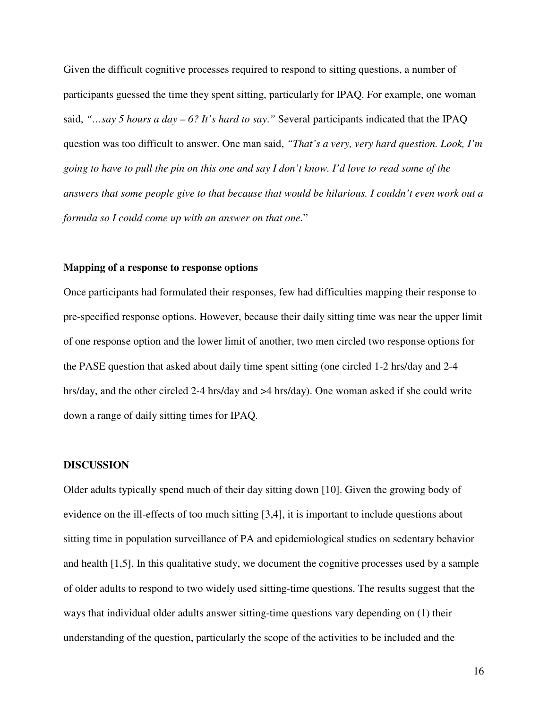Given the difficult cognitive processes required to respond to sitting questions, a number of participants guessed the time they spent sitting, particularly for IPAQ. For example, one woman said, *"…say 5 hours a day – 6? It's hard to say*.*"* Several participants indicated that the IPAQ question was too difficult to answer. One man said, *"That's a very, very hard question. Look, I'm going to have to pull the pin on this one and say I don't know. I'd love to read some of the answers that some people give to that because that would be hilarious. I couldn't even work out a formula so I could come up with an answer on that one.*"

#### **Mapping of a response to response options**

Once participants had formulated their responses, few had difficulties mapping their response to pre-specified response options. However, because their daily sitting time was near the upper limit of one response option and the lower limit of another, two men circled two response options for the PASE question that asked about daily time spent sitting (one circled 1-2 hrs/day and 2-4 hrs/day, and the other circled 2-4 hrs/day and >4 hrs/day). One woman asked if she could write down a range of daily sitting times for IPAQ.

#### **DISCUSSION**

Older adults typically spend much of their day sitting down [10]. Given the growing body of evidence on the ill-effects of too much sitting [3,4], it is important to include questions about sitting time in population surveillance of PA and epidemiological studies on sedentary behavior and health [1,5]. In this qualitative study, we document the cognitive processes used by a sample of older adults to respond to two widely used sitting-time questions. The results suggest that the ways that individual older adults answer sitting-time questions vary depending on (1) their understanding of the question, particularly the scope of the activities to be included and the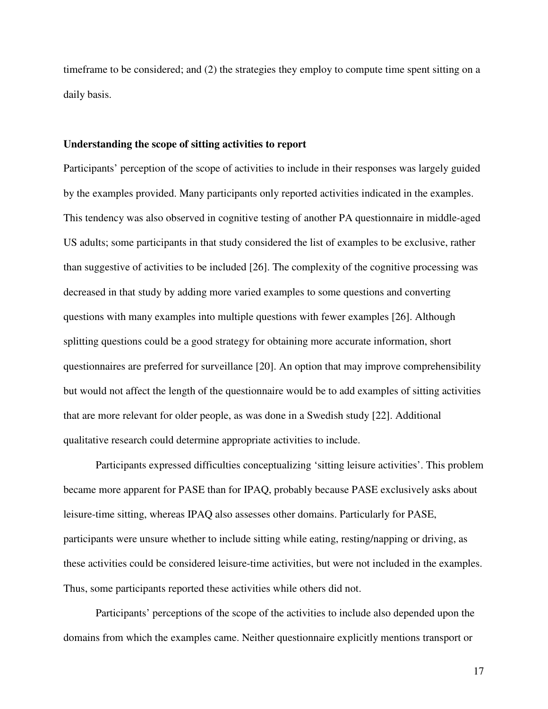timeframe to be considered; and (2) the strategies they employ to compute time spent sitting on a daily basis.

#### **Understanding the scope of sitting activities to report**

Participants' perception of the scope of activities to include in their responses was largely guided by the examples provided. Many participants only reported activities indicated in the examples. This tendency was also observed in cognitive testing of another PA questionnaire in middle-aged US adults; some participants in that study considered the list of examples to be exclusive, rather than suggestive of activities to be included [26]. The complexity of the cognitive processing was decreased in that study by adding more varied examples to some questions and converting questions with many examples into multiple questions with fewer examples [26]. Although splitting questions could be a good strategy for obtaining more accurate information, short questionnaires are preferred for surveillance [20]. An option that may improve comprehensibility but would not affect the length of the questionnaire would be to add examples of sitting activities that are more relevant for older people, as was done in a Swedish study [22]. Additional qualitative research could determine appropriate activities to include.

Participants expressed difficulties conceptualizing 'sitting leisure activities'. This problem became more apparent for PASE than for IPAQ, probably because PASE exclusively asks about leisure-time sitting, whereas IPAQ also assesses other domains. Particularly for PASE, participants were unsure whether to include sitting while eating, resting/napping or driving, as these activities could be considered leisure-time activities, but were not included in the examples. Thus, some participants reported these activities while others did not.

Participants' perceptions of the scope of the activities to include also depended upon the domains from which the examples came. Neither questionnaire explicitly mentions transport or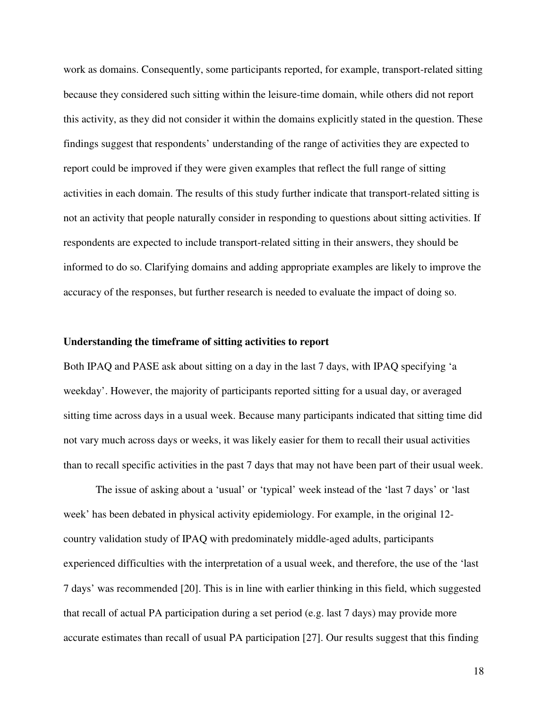work as domains. Consequently, some participants reported, for example, transport-related sitting because they considered such sitting within the leisure-time domain, while others did not report this activity, as they did not consider it within the domains explicitly stated in the question. These findings suggest that respondents' understanding of the range of activities they are expected to report could be improved if they were given examples that reflect the full range of sitting activities in each domain. The results of this study further indicate that transport-related sitting is not an activity that people naturally consider in responding to questions about sitting activities. If respondents are expected to include transport-related sitting in their answers, they should be informed to do so. Clarifying domains and adding appropriate examples are likely to improve the accuracy of the responses, but further research is needed to evaluate the impact of doing so.

#### **Understanding the timeframe of sitting activities to report**

Both IPAQ and PASE ask about sitting on a day in the last 7 days, with IPAQ specifying 'a weekday'. However, the majority of participants reported sitting for a usual day, or averaged sitting time across days in a usual week. Because many participants indicated that sitting time did not vary much across days or weeks, it was likely easier for them to recall their usual activities than to recall specific activities in the past 7 days that may not have been part of their usual week.

The issue of asking about a 'usual' or 'typical' week instead of the 'last 7 days' or 'last week' has been debated in physical activity epidemiology. For example, in the original 12 country validation study of IPAQ with predominately middle-aged adults, participants experienced difficulties with the interpretation of a usual week, and therefore, the use of the 'last 7 days' was recommended [20]. This is in line with earlier thinking in this field, which suggested that recall of actual PA participation during a set period (e.g. last 7 days) may provide more accurate estimates than recall of usual PA participation [27]. Our results suggest that this finding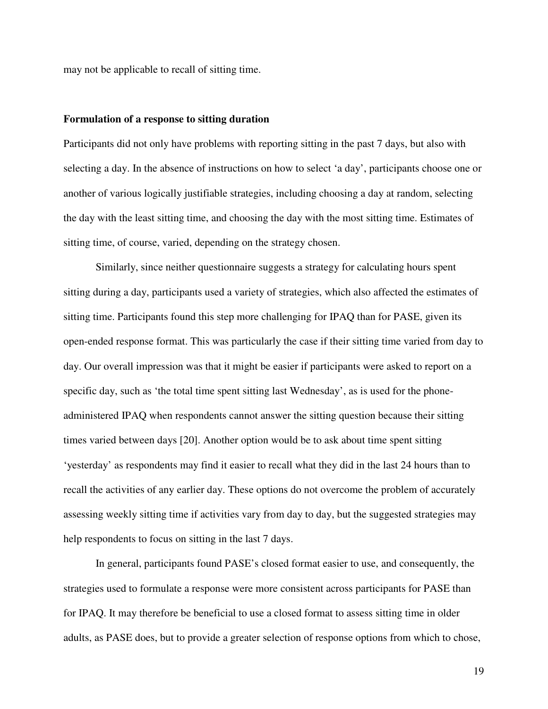may not be applicable to recall of sitting time.

#### **Formulation of a response to sitting duration**

Participants did not only have problems with reporting sitting in the past 7 days, but also with selecting a day. In the absence of instructions on how to select 'a day', participants choose one or another of various logically justifiable strategies, including choosing a day at random, selecting the day with the least sitting time, and choosing the day with the most sitting time. Estimates of sitting time, of course, varied, depending on the strategy chosen.

Similarly, since neither questionnaire suggests a strategy for calculating hours spent sitting during a day, participants used a variety of strategies, which also affected the estimates of sitting time. Participants found this step more challenging for IPAQ than for PASE, given its open-ended response format. This was particularly the case if their sitting time varied from day to day. Our overall impression was that it might be easier if participants were asked to report on a specific day, such as 'the total time spent sitting last Wednesday', as is used for the phoneadministered IPAQ when respondents cannot answer the sitting question because their sitting times varied between days [20]. Another option would be to ask about time spent sitting 'yesterday' as respondents may find it easier to recall what they did in the last 24 hours than to recall the activities of any earlier day. These options do not overcome the problem of accurately assessing weekly sitting time if activities vary from day to day, but the suggested strategies may help respondents to focus on sitting in the last 7 days.

In general, participants found PASE's closed format easier to use, and consequently, the strategies used to formulate a response were more consistent across participants for PASE than for IPAQ. It may therefore be beneficial to use a closed format to assess sitting time in older adults, as PASE does, but to provide a greater selection of response options from which to chose,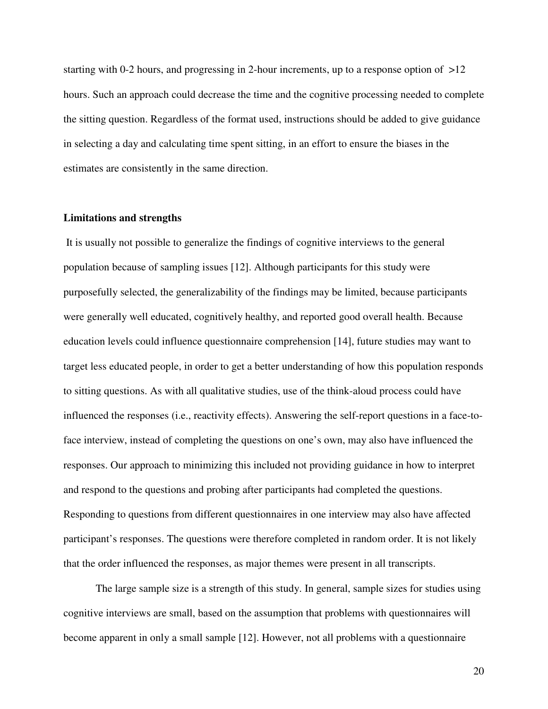starting with 0-2 hours, and progressing in 2-hour increments, up to a response option of >12 hours. Such an approach could decrease the time and the cognitive processing needed to complete the sitting question. Regardless of the format used, instructions should be added to give guidance in selecting a day and calculating time spent sitting, in an effort to ensure the biases in the estimates are consistently in the same direction.

#### **Limitations and strengths**

It is usually not possible to generalize the findings of cognitive interviews to the general population because of sampling issues [12]. Although participants for this study were purposefully selected, the generalizability of the findings may be limited, because participants were generally well educated, cognitively healthy, and reported good overall health. Because education levels could influence questionnaire comprehension [14], future studies may want to target less educated people, in order to get a better understanding of how this population responds to sitting questions. As with all qualitative studies, use of the think-aloud process could have influenced the responses (i.e., reactivity effects). Answering the self-report questions in a face-toface interview, instead of completing the questions on one's own, may also have influenced the responses. Our approach to minimizing this included not providing guidance in how to interpret and respond to the questions and probing after participants had completed the questions. Responding to questions from different questionnaires in one interview may also have affected participant's responses. The questions were therefore completed in random order. It is not likely that the order influenced the responses, as major themes were present in all transcripts.

The large sample size is a strength of this study. In general, sample sizes for studies using cognitive interviews are small, based on the assumption that problems with questionnaires will become apparent in only a small sample [12]. However, not all problems with a questionnaire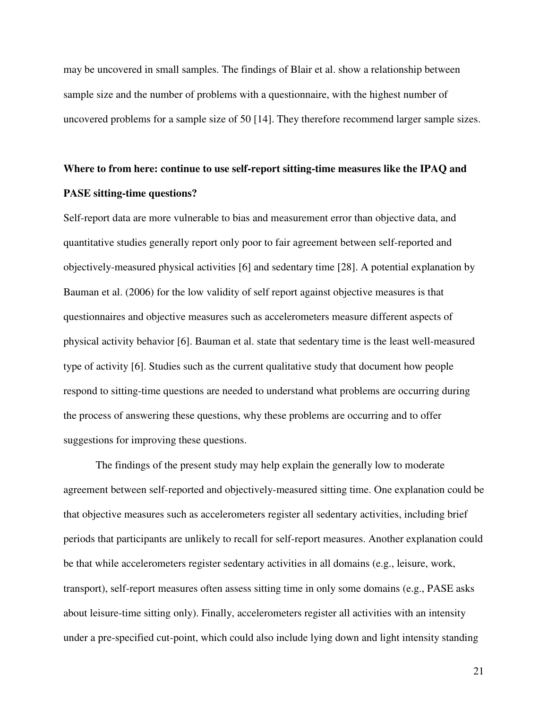may be uncovered in small samples. The findings of Blair et al. show a relationship between sample size and the number of problems with a questionnaire, with the highest number of uncovered problems for a sample size of 50 [14]. They therefore recommend larger sample sizes.

## **Where to from here: continue to use self-report sitting-time measures like the IPAQ and PASE sitting-time questions?**

Self-report data are more vulnerable to bias and measurement error than objective data, and quantitative studies generally report only poor to fair agreement between self-reported and objectively-measured physical activities [6] and sedentary time [28]. A potential explanation by Bauman et al. (2006) for the low validity of self report against objective measures is that questionnaires and objective measures such as accelerometers measure different aspects of physical activity behavior [6]. Bauman et al. state that sedentary time is the least well-measured type of activity [6]. Studies such as the current qualitative study that document how people respond to sitting-time questions are needed to understand what problems are occurring during the process of answering these questions, why these problems are occurring and to offer suggestions for improving these questions.

The findings of the present study may help explain the generally low to moderate agreement between self-reported and objectively-measured sitting time. One explanation could be that objective measures such as accelerometers register all sedentary activities, including brief periods that participants are unlikely to recall for self-report measures. Another explanation could be that while accelerometers register sedentary activities in all domains (e.g., leisure, work, transport), self-report measures often assess sitting time in only some domains (e.g., PASE asks about leisure-time sitting only). Finally, accelerometers register all activities with an intensity under a pre-specified cut-point, which could also include lying down and light intensity standing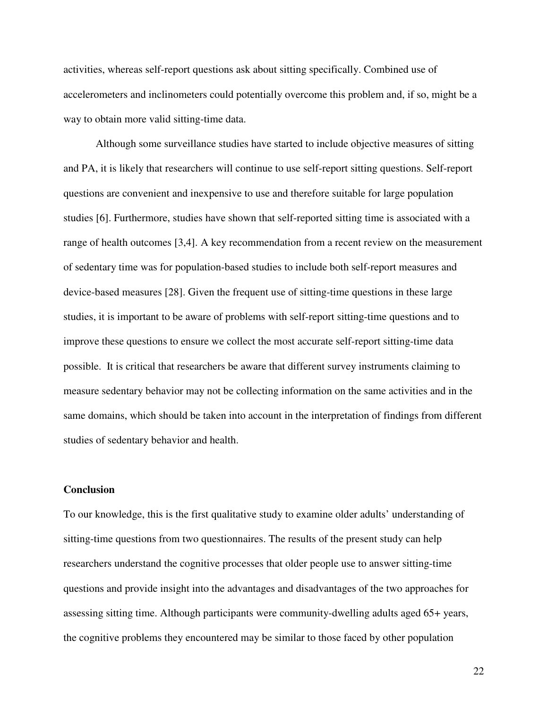activities, whereas self-report questions ask about sitting specifically. Combined use of accelerometers and inclinometers could potentially overcome this problem and, if so, might be a way to obtain more valid sitting-time data.

Although some surveillance studies have started to include objective measures of sitting and PA, it is likely that researchers will continue to use self-report sitting questions. Self-report questions are convenient and inexpensive to use and therefore suitable for large population studies [6]. Furthermore, studies have shown that self-reported sitting time is associated with a range of health outcomes [3,4]. A key recommendation from a recent review on the measurement of sedentary time was for population-based studies to include both self-report measures and device-based measures [28]. Given the frequent use of sitting-time questions in these large studies, it is important to be aware of problems with self-report sitting-time questions and to improve these questions to ensure we collect the most accurate self-report sitting-time data possible. It is critical that researchers be aware that different survey instruments claiming to measure sedentary behavior may not be collecting information on the same activities and in the same domains, which should be taken into account in the interpretation of findings from different studies of sedentary behavior and health.

#### **Conclusion**

To our knowledge, this is the first qualitative study to examine older adults' understanding of sitting-time questions from two questionnaires. The results of the present study can help researchers understand the cognitive processes that older people use to answer sitting-time questions and provide insight into the advantages and disadvantages of the two approaches for assessing sitting time. Although participants were community-dwelling adults aged 65+ years, the cognitive problems they encountered may be similar to those faced by other population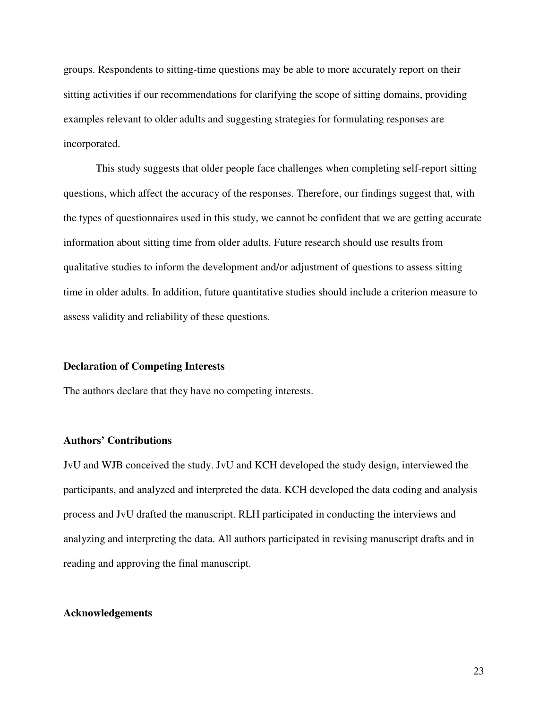groups. Respondents to sitting-time questions may be able to more accurately report on their sitting activities if our recommendations for clarifying the scope of sitting domains, providing examples relevant to older adults and suggesting strategies for formulating responses are incorporated.

This study suggests that older people face challenges when completing self-report sitting questions, which affect the accuracy of the responses. Therefore, our findings suggest that, with the types of questionnaires used in this study, we cannot be confident that we are getting accurate information about sitting time from older adults. Future research should use results from qualitative studies to inform the development and/or adjustment of questions to assess sitting time in older adults. In addition, future quantitative studies should include a criterion measure to assess validity and reliability of these questions.

#### **Declaration of Competing Interests**

The authors declare that they have no competing interests.

#### **Authors' Contributions**

JvU and WJB conceived the study. JvU and KCH developed the study design, interviewed the participants, and analyzed and interpreted the data. KCH developed the data coding and analysis process and JvU drafted the manuscript. RLH participated in conducting the interviews and analyzing and interpreting the data. All authors participated in revising manuscript drafts and in reading and approving the final manuscript.

#### **Acknowledgements**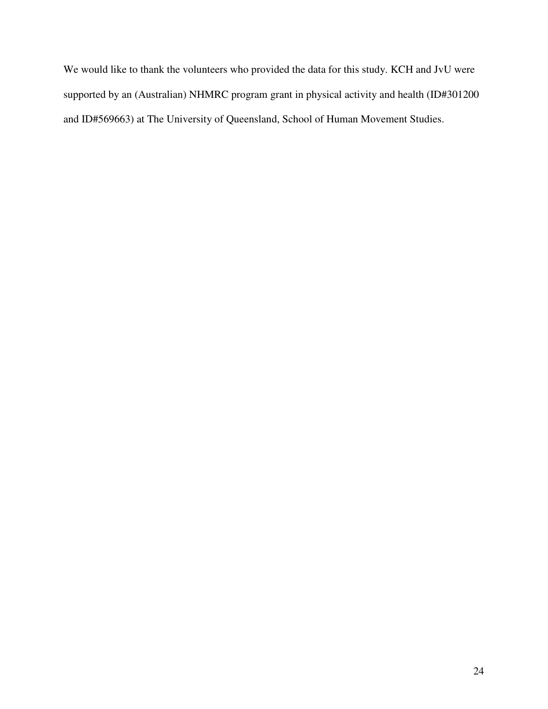We would like to thank the volunteers who provided the data for this study. KCH and JvU were supported by an (Australian) NHMRC program grant in physical activity and health (ID#301200 and ID#569663) at The University of Queensland, School of Human Movement Studies.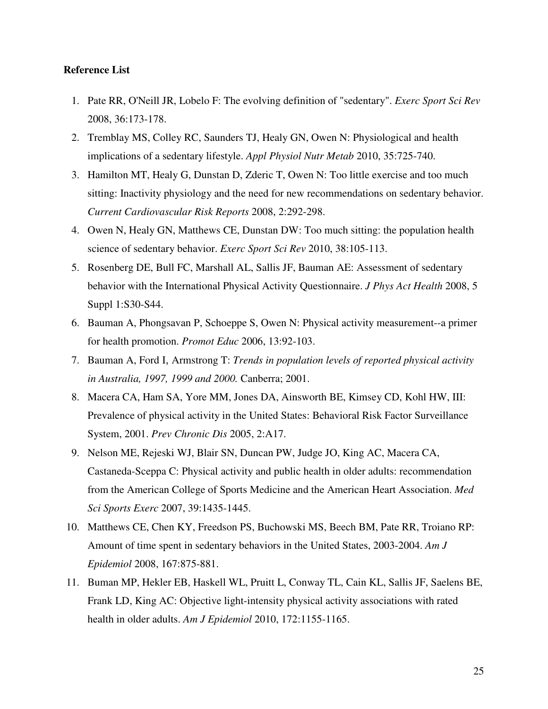#### **Reference List**

- 1. Pate RR, O'Neill JR, Lobelo F: The evolving definition of "sedentary". *Exerc Sport Sci Rev* 2008, 36:173-178.
- 2. Tremblay MS, Colley RC, Saunders TJ, Healy GN, Owen N: Physiological and health implications of a sedentary lifestyle. *Appl Physiol Nutr Metab* 2010, 35:725-740.
- 3. Hamilton MT, Healy G, Dunstan D, Zderic T, Owen N: Too little exercise and too much sitting: Inactivity physiology and the need for new recommendations on sedentary behavior. *Current Cardiovascular Risk Reports* 2008, 2:292-298.
- 4. Owen N, Healy GN, Matthews CE, Dunstan DW: Too much sitting: the population health science of sedentary behavior. *Exerc Sport Sci Rev* 2010, 38:105-113.
- 5. Rosenberg DE, Bull FC, Marshall AL, Sallis JF, Bauman AE: Assessment of sedentary behavior with the International Physical Activity Questionnaire. *J Phys Act Health* 2008, 5 Suppl 1:S30-S44.
- 6. Bauman A, Phongsavan P, Schoeppe S, Owen N: Physical activity measurement--a primer for health promotion. *Promot Educ* 2006, 13:92-103.
- 7. Bauman A, Ford I, Armstrong T: *Trends in population levels of reported physical activity in Australia, 1997, 1999 and 2000.* Canberra; 2001.
- 8. Macera CA, Ham SA, Yore MM, Jones DA, Ainsworth BE, Kimsey CD, Kohl HW, III: Prevalence of physical activity in the United States: Behavioral Risk Factor Surveillance System, 2001. *Prev Chronic Dis* 2005, 2:A17.
- 9. Nelson ME, Rejeski WJ, Blair SN, Duncan PW, Judge JO, King AC, Macera CA, Castaneda-Sceppa C: Physical activity and public health in older adults: recommendation from the American College of Sports Medicine and the American Heart Association. *Med Sci Sports Exerc* 2007, 39:1435-1445.
- 10. Matthews CE, Chen KY, Freedson PS, Buchowski MS, Beech BM, Pate RR, Troiano RP: Amount of time spent in sedentary behaviors in the United States, 2003-2004. *Am J Epidemiol* 2008, 167:875-881.
- 11. Buman MP, Hekler EB, Haskell WL, Pruitt L, Conway TL, Cain KL, Sallis JF, Saelens BE, Frank LD, King AC: Objective light-intensity physical activity associations with rated health in older adults. *Am J Epidemiol* 2010, 172:1155-1165.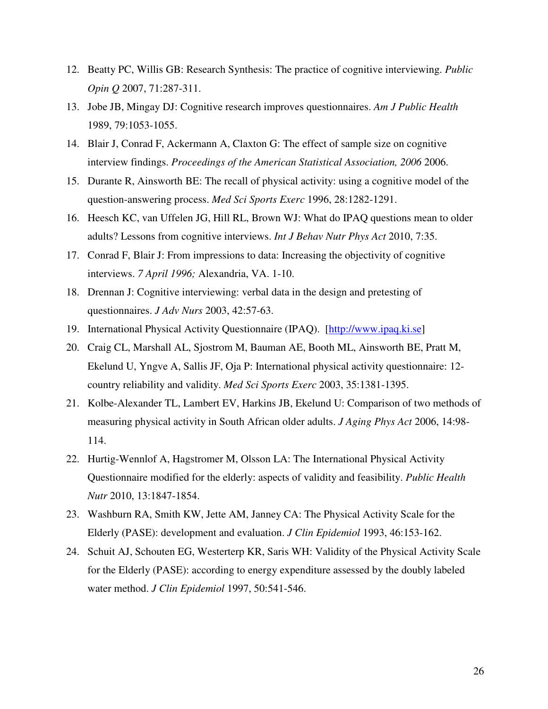- 12. Beatty PC, Willis GB: Research Synthesis: The practice of cognitive interviewing. *Public Opin Q* 2007, 71:287-311.
- 13. Jobe JB, Mingay DJ: Cognitive research improves questionnaires. *Am J Public Health* 1989, 79:1053-1055.
- 14. Blair J, Conrad F, Ackermann A, Claxton G: The effect of sample size on cognitive interview findings. *Proceedings of the American Statistical Association, 2006* 2006.
- 15. Durante R, Ainsworth BE: The recall of physical activity: using a cognitive model of the question-answering process. *Med Sci Sports Exerc* 1996, 28:1282-1291.
- 16. Heesch KC, van Uffelen JG, Hill RL, Brown WJ: What do IPAQ questions mean to older adults? Lessons from cognitive interviews. *Int J Behav Nutr Phys Act* 2010, 7:35.
- 17. Conrad F, Blair J: From impressions to data: Increasing the objectivity of cognitive interviews. *7 April 1996;* Alexandria, VA. 1-10.
- 18. Drennan J: Cognitive interviewing: verbal data in the design and pretesting of questionnaires. *J Adv Nurs* 2003, 42:57-63.
- 19. International Physical Activity Questionnaire (IPAQ). [http://www.ipaq.ki.se]
- 20. Craig CL, Marshall AL, Sjostrom M, Bauman AE, Booth ML, Ainsworth BE, Pratt M, Ekelund U, Yngve A, Sallis JF, Oja P: International physical activity questionnaire: 12 country reliability and validity. *Med Sci Sports Exerc* 2003, 35:1381-1395.
- 21. Kolbe-Alexander TL, Lambert EV, Harkins JB, Ekelund U: Comparison of two methods of measuring physical activity in South African older adults. *J Aging Phys Act* 2006, 14:98- 114.
- 22. Hurtig-Wennlof A, Hagstromer M, Olsson LA: The International Physical Activity Questionnaire modified for the elderly: aspects of validity and feasibility. *Public Health Nutr* 2010, 13:1847-1854.
- 23. Washburn RA, Smith KW, Jette AM, Janney CA: The Physical Activity Scale for the Elderly (PASE): development and evaluation. *J Clin Epidemiol* 1993, 46:153-162.
- 24. Schuit AJ, Schouten EG, Westerterp KR, Saris WH: Validity of the Physical Activity Scale for the Elderly (PASE): according to energy expenditure assessed by the doubly labeled water method. *J Clin Epidemiol* 1997, 50:541-546.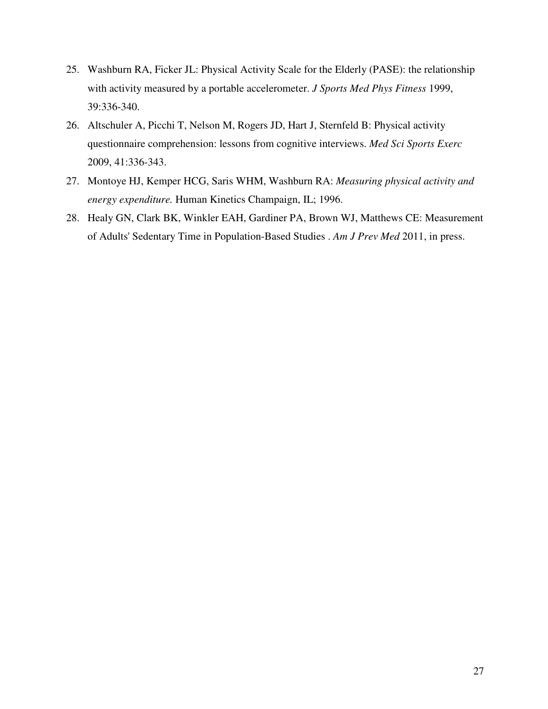- 25. Washburn RA, Ficker JL: Physical Activity Scale for the Elderly (PASE): the relationship with activity measured by a portable accelerometer. *J Sports Med Phys Fitness* 1999, 39:336-340.
- 26. Altschuler A, Picchi T, Nelson M, Rogers JD, Hart J, Sternfeld B: Physical activity questionnaire comprehension: lessons from cognitive interviews. *Med Sci Sports Exerc* 2009, 41:336-343.
- 27. Montoye HJ, Kemper HCG, Saris WHM, Washburn RA: *Measuring physical activity and energy expenditure.* Human Kinetics Champaign, IL; 1996.
- 28. Healy GN, Clark BK, Winkler EAH, Gardiner PA, Brown WJ, Matthews CE: Measurement of Adults' Sedentary Time in Population-Based Studies . *Am J Prev Med* 2011, in press.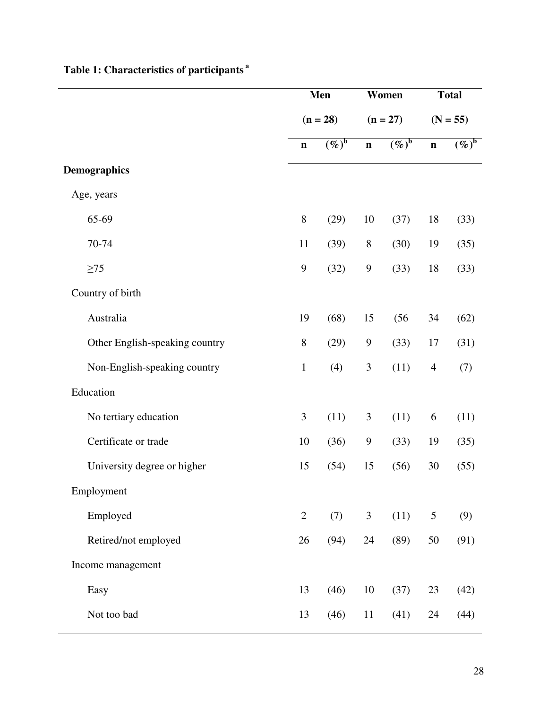|                                | Men<br>$(n = 28)$ |                       | Women<br>$(n = 27)$ |                                  | <b>Total</b><br>$(N = 55)$ |          |
|--------------------------------|-------------------|-----------------------|---------------------|----------------------------------|----------------------------|----------|
|                                |                   |                       |                     |                                  |                            |          |
|                                | $\mathbf n$       | $(\%)^{\mathfrak{b}}$ | $\mathbf n$         | $\overline{(\%)}^{\mathfrak{b}}$ | $\mathbf n$                | $(\%)^b$ |
| <b>Demographics</b>            |                   |                       |                     |                                  |                            |          |
| Age, years                     |                   |                       |                     |                                  |                            |          |
| 65-69                          | $8\,$             | (29)                  | 10                  | (37)                             | 18                         | (33)     |
| 70-74                          | 11                | (39)                  | $8\,$               | (30)                             | 19                         | (35)     |
| $\geq$ 75                      | 9                 | (32)                  | 9                   | (33)                             | 18                         | (33)     |
| Country of birth               |                   |                       |                     |                                  |                            |          |
| Australia                      | 19                | (68)                  | 15                  | (56)                             | 34                         | (62)     |
| Other English-speaking country | $8\,$             | (29)                  | 9                   | (33)                             | 17                         | (31)     |
| Non-English-speaking country   | $\mathbf{1}$      | (4)                   | 3                   | (11)                             | $\overline{\mathcal{A}}$   | (7)      |
| Education                      |                   |                       |                     |                                  |                            |          |
| No tertiary education          | $\mathfrak{Z}$    | (11)                  | 3                   | (11)                             | 6                          | (11)     |
| Certificate or trade           | 10                | (36)                  | 9                   | (33)                             | 19                         | (35)     |
| University degree or higher    | 15                | (54)                  | 15                  | (56)                             | 30                         | (55)     |
| Employment                     |                   |                       |                     |                                  |                            |          |
| Employed                       | $\mathbf{2}$      | (7)                   | $\mathfrak{Z}$      | (11)                             | $\mathfrak s$              | (9)      |
| Retired/not employed           | 26                | (94)                  | 24                  | (89)                             | 50                         | (91)     |
| Income management              |                   |                       |                     |                                  |                            |          |
| Easy                           | 13                | (46)                  | 10                  | (37)                             | 23                         | (42)     |
| Not too bad                    | 13                | (46)                  | 11                  | (41)                             | 24                         | (44)     |

### **Table 1: Characteristics of participants<sup>a</sup>**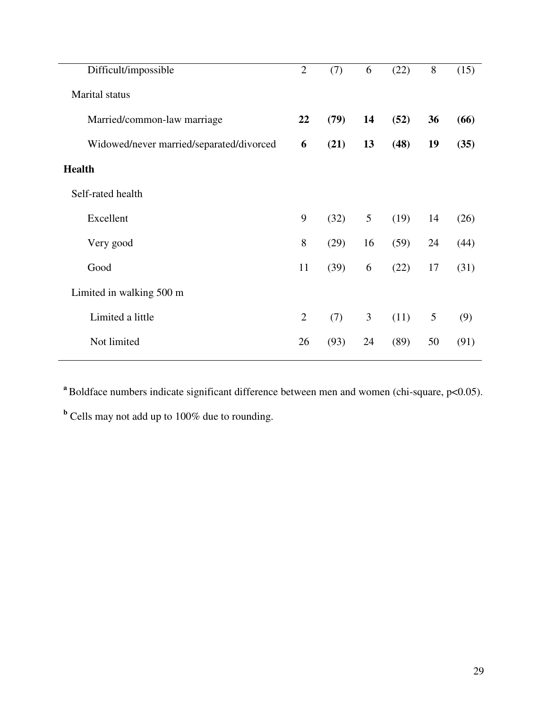| Difficult/impossible                     | $\overline{2}$ | (7)  | 6  | (22) | 8  | (15) |
|------------------------------------------|----------------|------|----|------|----|------|
| Marital status                           |                |      |    |      |    |      |
| Married/common-law marriage              | 22             | (79) | 14 | (52) | 36 | (66) |
| Widowed/never married/separated/divorced | 6              | (21) | 13 | (48) | 19 | (35) |
| <b>Health</b>                            |                |      |    |      |    |      |
| Self-rated health                        |                |      |    |      |    |      |
| Excellent                                | 9              | (32) | 5  | (19) | 14 | (26) |
| Very good                                | 8              | (29) | 16 | (59) | 24 | (44) |
| Good                                     | 11             | (39) | 6  | (22) | 17 | (31) |
| Limited in walking 500 m                 |                |      |    |      |    |      |
| Limited a little                         | $\overline{2}$ | (7)  | 3  | (11) | 5  | (9)  |
| Not limited                              | 26             | (93) | 24 | (89) | 50 | (91) |
|                                          |                |      |    |      |    |      |

**<sup>a</sup>**Boldface numbers indicate significant difference between men and women (chi-square, p<0.05).

<sup>**b</sup> Cells may not add up to 100% due to rounding.</sup>**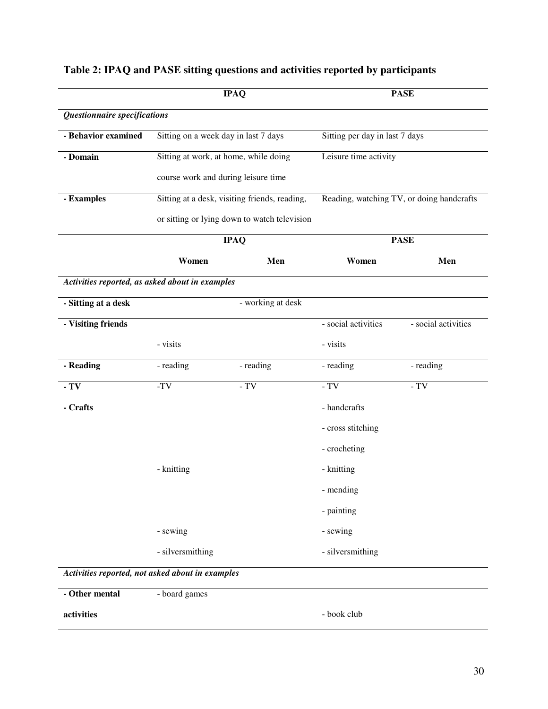|                                                  |                                              | <b>IPAQ</b>                                   | <b>PASE</b>                               |                       |  |  |
|--------------------------------------------------|----------------------------------------------|-----------------------------------------------|-------------------------------------------|-----------------------|--|--|
| Questionnaire specifications                     |                                              |                                               |                                           |                       |  |  |
| - Behavior examined                              | Sitting on a week day in last 7 days         |                                               | Sitting per day in last 7 days            |                       |  |  |
| - Domain                                         | Sitting at work, at home, while doing        |                                               | Leisure time activity                     |                       |  |  |
|                                                  | course work and during leisure time          |                                               |                                           |                       |  |  |
| - Examples                                       |                                              | Sitting at a desk, visiting friends, reading, | Reading, watching TV, or doing handcrafts |                       |  |  |
|                                                  | or sitting or lying down to watch television |                                               |                                           |                       |  |  |
|                                                  |                                              | <b>IPAQ</b>                                   | <b>PASE</b>                               |                       |  |  |
|                                                  | Women                                        | Men                                           | Women                                     | Men                   |  |  |
| Activities reported, as asked about in examples  |                                              |                                               |                                           |                       |  |  |
| - Sitting at a desk                              |                                              | - working at desk                             |                                           |                       |  |  |
| - Visiting friends                               |                                              |                                               | - social activities                       | - social activities   |  |  |
|                                                  | - visits                                     |                                               | - visits                                  |                       |  |  |
| - Reading                                        | - reading                                    | - reading                                     | - reading                                 | - reading             |  |  |
| $-TV$                                            | $\mbox{-}\mathrm{TV}$                        | - $\operatorname{TV}$                         | $T_{\text{TV}}$                           | - $\operatorname{TV}$ |  |  |
| - Crafts                                         |                                              |                                               | - handcrafts                              |                       |  |  |
|                                                  |                                              |                                               | - cross stitching                         |                       |  |  |
|                                                  |                                              |                                               | - crocheting                              |                       |  |  |
|                                                  | - knitting                                   |                                               | - knitting                                |                       |  |  |
|                                                  |                                              |                                               | - mending                                 |                       |  |  |
|                                                  |                                              |                                               | - painting                                |                       |  |  |
|                                                  | - sewing                                     |                                               | - sewing                                  |                       |  |  |
|                                                  | - silversmithing                             |                                               | - silversmithing                          |                       |  |  |
| Activities reported, not asked about in examples |                                              |                                               |                                           |                       |  |  |
| - Other mental                                   | - board games                                |                                               |                                           |                       |  |  |

### **Table 2: IPAQ and PASE sitting questions and activities reported by participants**

**activities** 

- book club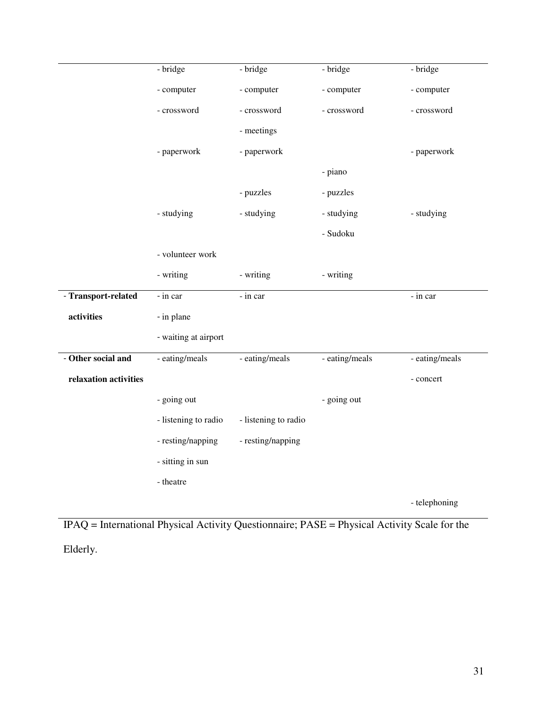|                       | - bridge             | - bridge             | - bridge       | - bridge       |
|-----------------------|----------------------|----------------------|----------------|----------------|
|                       | - computer           | - computer           | - computer     | - computer     |
|                       | - crossword          | - crossword          | - crossword    | - crossword    |
|                       |                      | - meetings           |                |                |
|                       | - paperwork          | - paperwork          |                | - paperwork    |
|                       |                      |                      | - piano        |                |
|                       |                      | - puzzles            | - puzzles      |                |
|                       | - studying           | - studying           | - studying     | - studying     |
|                       |                      |                      | - Sudoku       |                |
|                       | - volunteer work     |                      |                |                |
|                       | - writing            | - writing            | - writing      |                |
| - Transport-related   | - in car             | - in car             |                | - in car       |
| activities            | - in plane           |                      |                |                |
|                       | - waiting at airport |                      |                |                |
| - Other social and    | - eating/meals       | - eating/meals       | - eating/meals | - eating/meals |
| relaxation activities |                      |                      |                | - concert      |
|                       | - going out          |                      | - going out    |                |
|                       | - listening to radio | - listening to radio |                |                |
|                       | - resting/napping    | - resting/napping    |                |                |
|                       | - sitting in sun     |                      |                |                |
|                       | - theatre            |                      |                |                |
|                       |                      |                      |                |                |

- telephoning

IPAQ = International Physical Activity Questionnaire; PASE = Physical Activity Scale for the

Elderly.